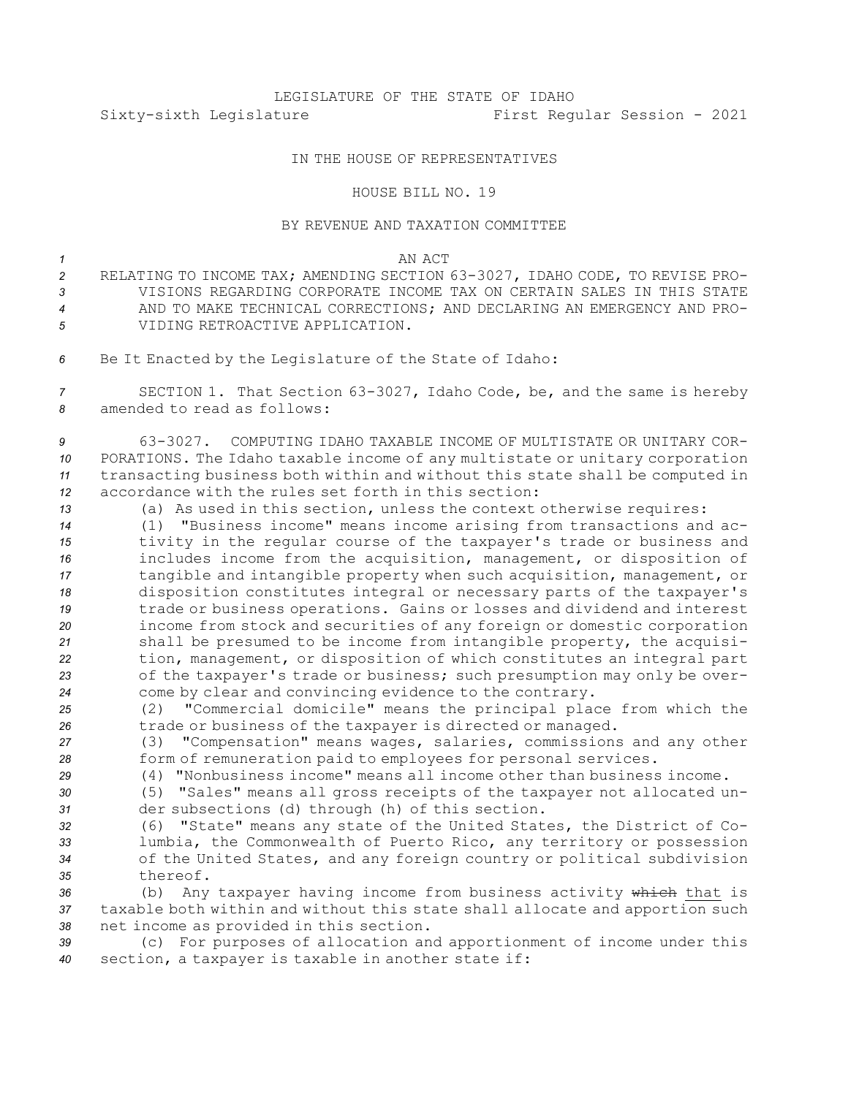# LEGISLATURE OF THE STATE OF IDAHO Sixty-sixth Legislature First Regular Session - 2021

## IN THE HOUSE OF REPRESENTATIVES

## HOUSE BILL NO. 19

### BY REVENUE AND TAXATION COMMITTEE

#### *1* AN ACT

- *<sup>2</sup>* RELATING TO INCOME TAX; AMENDING SECTION 63-3027, IDAHO CODE, TO REVISE PRO-*3* VISIONS REGARDING CORPORATE INCOME TAX ON CERTAIN SALES IN THIS STATE *4* AND TO MAKE TECHNICAL CORRECTIONS; AND DECLARING AN EMERGENCY AND PRO-*5* VIDING RETROACTIVE APPLICATION.
- *<sup>6</sup>* Be It Enacted by the Legislature of the State of Idaho:
- *<sup>7</sup>* SECTION 1. That Section 63-3027, Idaho Code, be, and the same is hereby *8* amended to read as follows:

 63-3027. COMPUTING IDAHO TAXABLE INCOME OF MULTISTATE OR UNITARY COR- PORATIONS. The Idaho taxable income of any multistate or unitary corporation transacting business both within and without this state shall be computed in accordance with the rules set forth in this section:

- *<sup>13</sup>* (a) As used in this section, unless the context otherwise requires:
- *<sup>14</sup>* (1) "Business income" means income arising from transactions and ac-*<sup>15</sup>* tivity in the regular course of the taxpayer's trade or business and *<sup>16</sup>* includes income from the acquisition, management, or disposition of *<sup>17</sup>* tangible and intangible property when such acquisition, management, or *<sup>18</sup>* disposition constitutes integral or necessary parts of the taxpayer's *<sup>19</sup>* trade or business operations. Gains or losses and dividend and interest *<sup>20</sup>* income from stock and securities of any foreign or domestic corporation *<sup>21</sup>* shall be presumed to be income from intangible property, the acquisi-*<sup>22</sup>* tion, management, or disposition of which constitutes an integral part *<sup>23</sup>* of the taxpayer's trade or business; such presumption may only be over-*<sup>24</sup>* come by clear and convincing evidence to the contrary.
- *<sup>25</sup>* (2) "Commercial domicile" means the principal place from which the *<sup>26</sup>* trade or business of the taxpayer is directed or managed.

*<sup>27</sup>* (3) "Compensation" means wages, salaries, commissions and any other *<sup>28</sup>* form of remuneration paid to employees for personal services.

- *29* (4) "Nonbusiness income" means all income other than business income.
- *<sup>30</sup>* (5) "Sales" means all gross receipts of the taxpayer not allocated un-*<sup>31</sup>* der subsections (d) through (h) of this section.
- *<sup>32</sup>* (6) "State" means any state of the United States, the District of Co-*<sup>33</sup>* lumbia, the Commonwealth of Puerto Rico, any territory or possession *<sup>34</sup>* of the United States, and any foreign country or political subdivision *35* thereof.
- *<sup>36</sup>* (b) Any taxpayer having income from business activity which that is *<sup>37</sup>* taxable both within and without this state shall allocate and apportion such *<sup>38</sup>* net income as provided in this section.

*<sup>39</sup>* (c) For purposes of allocation and apportionment of income under this *<sup>40</sup>* section, <sup>a</sup> taxpayer is taxable in another state if: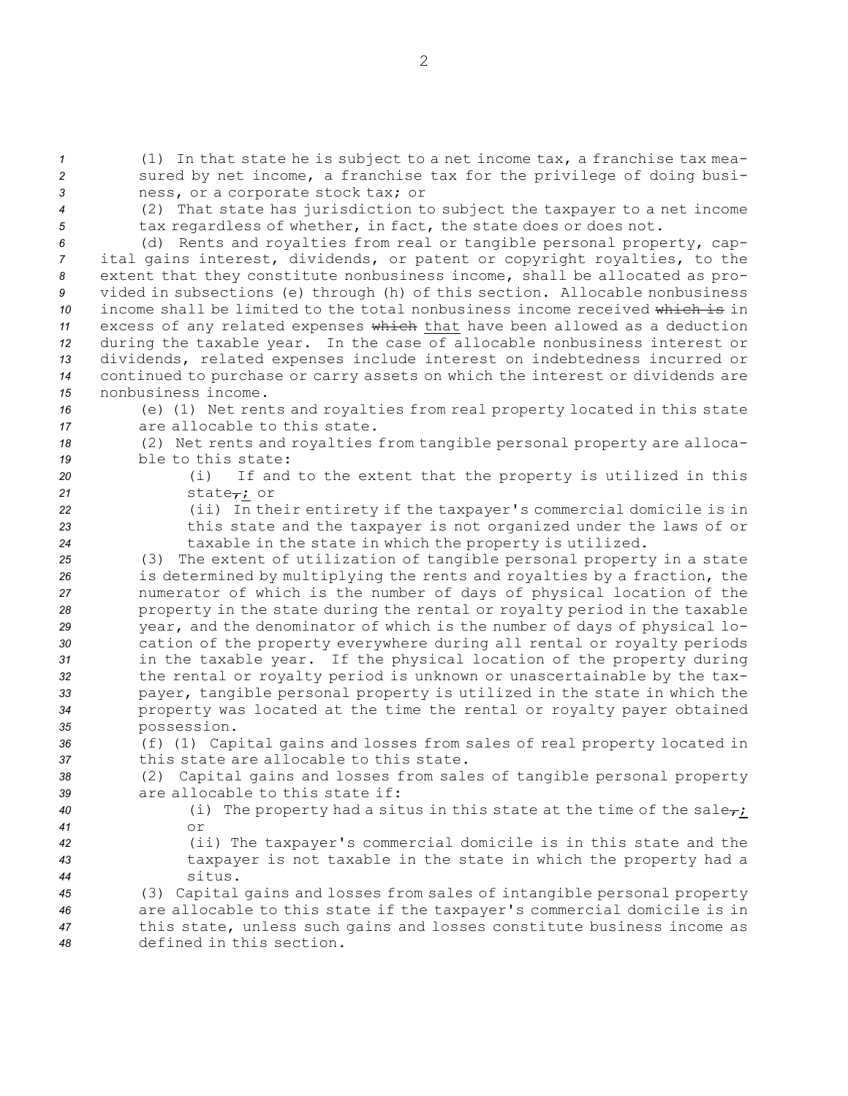*<sup>1</sup>* (1) In that state he is subject to <sup>a</sup> net income tax, <sup>a</sup> franchise tax mea-*<sup>2</sup>* sured by net income, <sup>a</sup> franchise tax for the privilege of doing busi-*<sup>3</sup>* ness, or <sup>a</sup> corporate stock tax; or

*<sup>4</sup>* (2) That state has jurisdiction to subject the taxpayer to <sup>a</sup> net income *<sup>5</sup>* tax regardless of whether, in fact, the state does or does not.

 (d) Rents and royalties from real or tangible personal property, cap- ital gains interest, dividends, or patent or copyright royalties, to the extent that they constitute nonbusiness income, shall be allocated as pro- vided in subsections (e) through (h) of this section. Allocable nonbusiness income shall be limited to the total nonbusiness income received which is in excess of any related expenses which that have been allowed as <sup>a</sup> deduction during the taxable year. In the case of allocable nonbusiness interest or dividends, related expenses include interest on indebtedness incurred or continued to purchase or carry assets on which the interest or dividends are nonbusiness income.

- *<sup>16</sup>* (e) (1) Net rents and royalties from real property located in this state
- *17* are allocable to this state.
- *<sup>18</sup>* (2) Net rents and royalties from tangible personal property are alloca-*19* ble to this state:
- 
- *<sup>20</sup>* (i) If and to the extent that the property is utilized in this 21 state<sub>r</sub>; or
- 

*<sup>22</sup>* (ii) In their entirety if the taxpayer's commercial domicile is in *<sup>23</sup>* this state and the taxpayer is not organized under the laws of or *<sup>24</sup>* taxable in the state in which the property is utilized.

 (3) The extent of utilization of tangible personal property in <sup>a</sup> state is determined by multiplying the rents and royalties by <sup>a</sup> fraction, the numerator of which is the number of days of physical location of the property in the state during the rental or royalty period in the taxable year, and the denominator of which is the number of days of physical lo- cation of the property everywhere during all rental or royalty periods in the taxable year. If the physical location of the property during the rental or royalty period is unknown or unascertainable by the tax- payer, tangible personal property is utilized in the state in which the property was located at the time the rental or royalty payer obtained possession.

*<sup>36</sup>* (f) (1) Capital gains and losses from sales of real property located in *37* this state are allocable to this state.

*<sup>38</sup>* (2) Capital gains and losses from sales of tangible personal property *39* are allocable to this state if:

- *40* (i) The property had a situs in this state at the time of the sale<sub>r</sub>; *41* or
- 

*<sup>42</sup>* (ii) The taxpayer's commercial domicile is in this state and the *<sup>43</sup>* taxpayer is not taxable in the state in which the property had <sup>a</sup>

*44* situs. (3) Capital gains and losses from sales of intangible personal property are allocable to this state if the taxpayer's commercial domicile is in this state, unless such gains and losses constitute business income as defined in this section.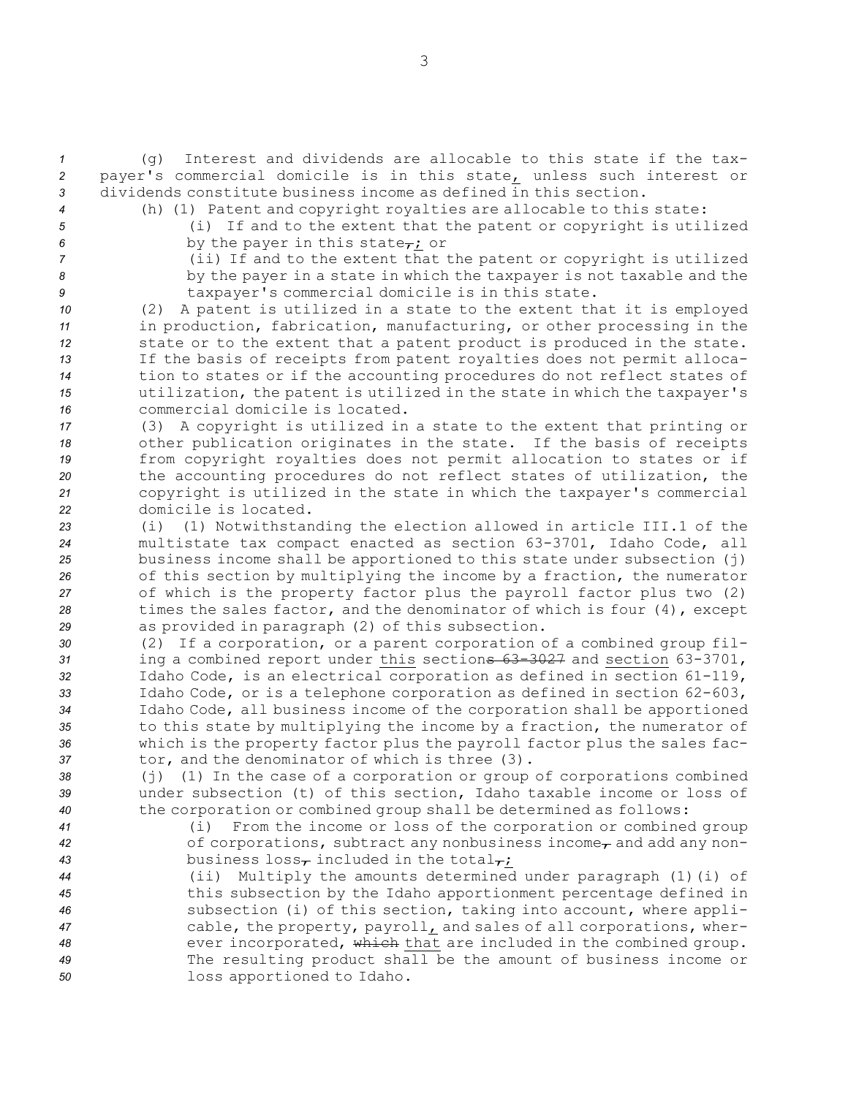*<sup>1</sup>* (g) Interest and dividends are allocable to this state if the tax-*<sup>2</sup>* payer's commercial domicile is in this state, unless such interest or *3* dividends constitute business income as defined in this section.

- 
- 

*<sup>4</sup>* (h) (1) Patent and copyright royalties are allocable to this state:

*<sup>5</sup>* (i) If and to the extent that the patent or copyright is utilized

 $6$  by the payer in this state<sub> $\tau$ </sub>; or

*<sup>7</sup>* (ii) If and to the extent that the patent or copyright is utilized *<sup>8</sup>* by the payer in <sup>a</sup> state in which the taxpayer is not taxable and the *<sup>9</sup>* taxpayer's commercial domicile is in this state.

 (2) <sup>A</sup> patent is utilized in <sup>a</sup> state to the extent that it is employed in production, fabrication, manufacturing, or other processing in the state or to the extent that <sup>a</sup> patent product is produced in the state. If the basis of receipts from patent royalties does not permit alloca- tion to states or if the accounting procedures do not reflect states of utilization, the patent is utilized in the state in which the taxpayer's commercial domicile is located.

 (3) <sup>A</sup> copyright is utilized in <sup>a</sup> state to the extent that printing or other publication originates in the state. If the basis of receipts from copyright royalties does not permit allocation to states or if the accounting procedures do not reflect states of utilization, the copyright is utilized in the state in which the taxpayer's commercial domicile is located.

 (i) (1) Notwithstanding the election allowed in article III.1 of the multistate tax compact enacted as section 63-3701, Idaho Code, all business income shall be apportioned to this state under subsection (j) of this section by multiplying the income by <sup>a</sup> fraction, the numerator of which is the property factor plus the payroll factor plus two (2) times the sales factor, and the denominator of which is four (4), except as provided in paragraph (2) of this subsection.

 (2) If <sup>a</sup> corporation, or <sup>a</sup> parent corporation of <sup>a</sup> combined group fil- ing <sup>a</sup> combined report under this sections 63-3027 and section 63-3701, Idaho Code, is an electrical corporation as defined in section 61-119, Idaho Code, or is <sup>a</sup> telephone corporation as defined in section 62-603, Idaho Code, all business income of the corporation shall be apportioned to this state by multiplying the income by <sup>a</sup> fraction, the numerator of which is the property factor plus the payroll factor plus the sales fac-tor, and the denominator of which is three (3).

*<sup>38</sup>* (j) (1) In the case of <sup>a</sup> corporation or group of corporations combined *<sup>39</sup>* under subsection (t) of this section, Idaho taxable income or loss of *<sup>40</sup>* the corporation or combined group shall be determined as follows:

*<sup>41</sup>* (i) From the income or loss of the corporation or combined group 42 of corporations, subtract any nonbusiness income<sub>r</sub> and add any non-43 business  $loss<sub>r</sub>$  included in the total<sub> $\tau$ </sub>;

 (ii) Multiply the amounts determined under paragraph (1)(i) of this subsection by the Idaho apportionment percentage defined in subsection (i) of this section, taking into account, where appli- cable, the property, payroll, and sales of all corporations, wher- ever incorporated, which that are included in the combined group. The resulting product shall be the amount of business income or loss apportioned to Idaho.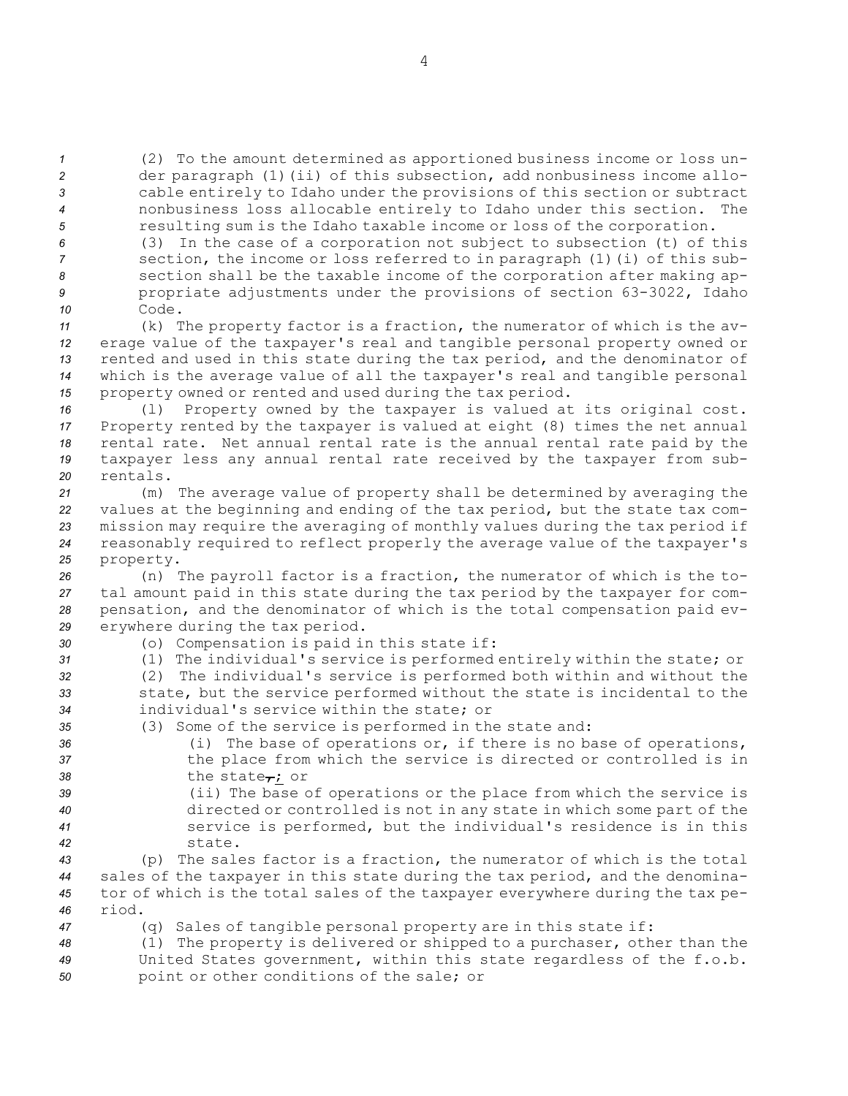(2) To the amount determined as apportioned business income or loss un- der paragraph (1)(ii) of this subsection, add nonbusiness income allo- cable entirely to Idaho under the provisions of this section or subtract nonbusiness loss allocable entirely to Idaho under this section. The resulting sum is the Idaho taxable income or loss of the corporation.

 (3) In the case of <sup>a</sup> corporation not subject to subsection (t) of this section, the income or loss referred to in paragraph (1)(i) of this sub- section shall be the taxable income of the corporation after making ap- propriate adjustments under the provisions of section 63-3022, Idaho *10* Code.

 (k) The property factor is <sup>a</sup> fraction, the numerator of which is the av- erage value of the taxpayer's real and tangible personal property owned or rented and used in this state during the tax period, and the denominator of which is the average value of all the taxpayer's real and tangible personal property owned or rented and used during the tax period.

 (l) Property owned by the taxpayer is valued at its original cost. Property rented by the taxpayer is valued at eight (8) times the net annual rental rate. Net annual rental rate is the annual rental rate paid by the taxpayer less any annual rental rate received by the taxpayer from sub-*20* rentals.

 (m) The average value of property shall be determined by averaging the values at the beginning and ending of the tax period, but the state tax com- mission may require the averaging of monthly values during the tax period if reasonably required to reflect properly the average value of the taxpayer's property.

 (n) The payroll factor is <sup>a</sup> fraction, the numerator of which is the to- tal amount paid in this state during the tax period by the taxpayer for com- pensation, and the denominator of which is the total compensation paid ev-erywhere during the tax period.

- 
- *<sup>30</sup>* (o) Compensation is paid in this state if:

*<sup>31</sup>* (1) The individual's service is performed entirely within the state; or

- *<sup>32</sup>* (2) The individual's service is performed both within and without the *<sup>33</sup>* state, but the service performed without the state is incidental to the *34* individual's service within the state; or
- *<sup>35</sup>* (3) Some of the service is performed in the state and:
- *<sup>36</sup>* (i) The base of operations or, if there is no base of operations, *<sup>37</sup>* the place from which the service is directed or controlled is in 38 the state<sub> $\tau$ </sub>; or
- *<sup>39</sup>* (ii) The base of operations or the place from which the service is *<sup>40</sup>* directed or controlled is not in any state in which some part of the *<sup>41</sup>* service is performed, but the individual's residence is in this *42* state.

 (p) The sales factor is <sup>a</sup> fraction, the numerator of which is the total sales of the taxpayer in this state during the tax period, and the denomina- tor of which is the total sales of the taxpayer everywhere during the tax pe-*46* riod.

*<sup>47</sup>* (q) Sales of tangible personal property are in this state if:

*<sup>48</sup>* (1) The property is delivered or shipped to <sup>a</sup> purchaser, other than the *<sup>49</sup>* United States government, within this state regardless of the f.o.b. *<sup>50</sup>* point or other conditions of the sale; or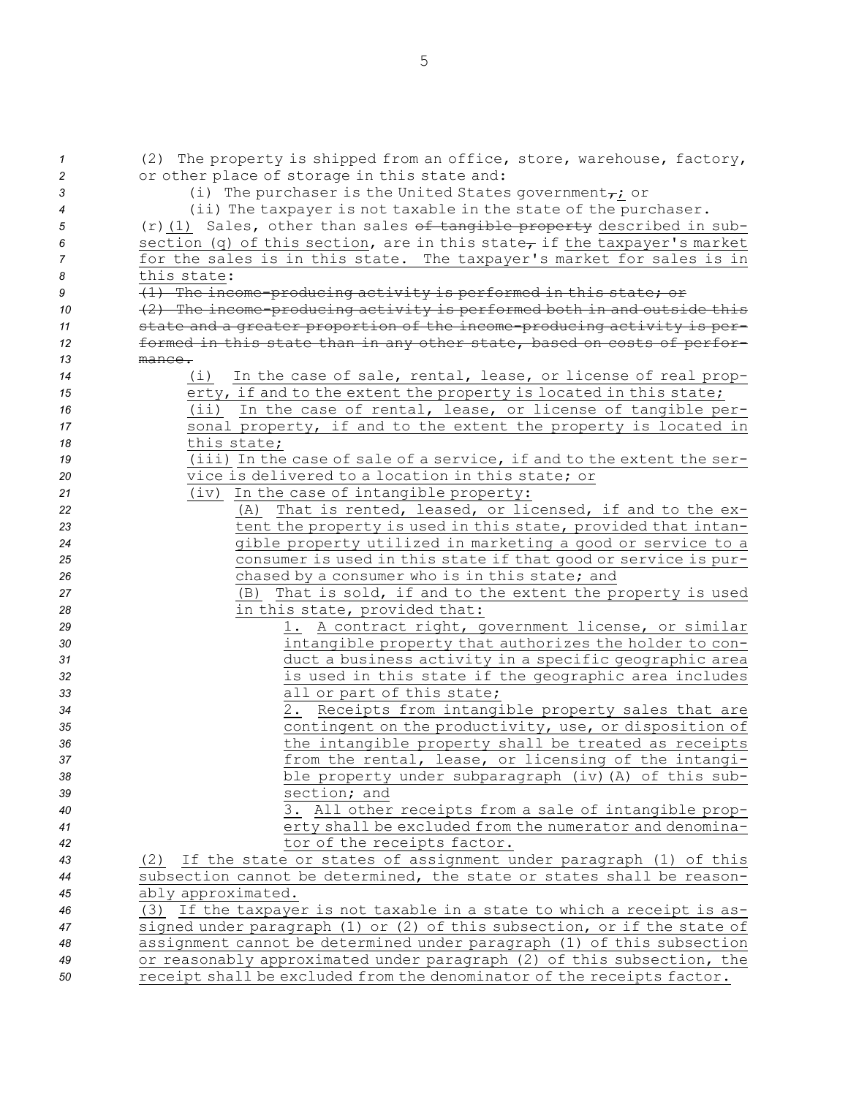| $\overline{1}$ | (2) The property is shipped from an office, store, warehouse, factory,              |
|----------------|-------------------------------------------------------------------------------------|
| 2              | or other place of storage in this state and:                                        |
| 3              | (i) The purchaser is the United States government <sub><math>\tau</math></sub> ; or |
| 4              | (ii) The taxpayer is not taxable in the state of the purchaser.                     |
| 5              | $(r)$ (1) Sales, other than sales of tangible property described in sub-            |
| 6              | section (q) of this section, are in this state, if the taxpayer's market            |
| 7              | for the sales is in this state. The taxpayer's market for sales is in               |
| 8              | this state:                                                                         |
| 9              | (1) The income-producing activity is performed in this state; or                    |
| 10             | (2) The income-producing activity is performed both in and outside this             |
| 11             | state and a greater proportion of the income-producing activity is per-             |
| 12             | formed in this state than in any other state, based on costs of perfor-             |
| 13             | mance.                                                                              |
| 14             | (i)<br>In the case of sale, rental, lease, or license of real prop-                 |
| 15             | erty, if and to the extent the property is located in this state;                   |
| 16             | In the case of rental, lease, or license of tangible per-<br>(i)                    |
| 17             | sonal property, if and to the extent the property is located in                     |
| 18             | this state;                                                                         |
| 19             | (iii) In the case of sale of a service, if and to the extent the ser-               |
| 20             | vice is delivered to a location in this state; or                                   |
| 21             | (iv) In the case of intangible property:                                            |
| 22             | That is rented, leased, or licensed, if and to the ex-<br>(A)                       |
| 23             | tent the property is used in this state, provided that intan-                       |
| 24             | gible property utilized in marketing a good or service to a                         |
| 25             | consumer is used in this state if that good or service is pur-                      |
| 26             | chased by a consumer who is in this state; and                                      |
| 27             | That is sold, if and to the extent the property is used<br>(B)                      |
| 28             | in this state, provided that:                                                       |
| 29             | 1. A contract right, government license, or similar                                 |
| 30             | intangible property that authorizes the holder to con-                              |
| 31             | duct a business activity in a specific geographic area                              |
| 32             | is used in this state if the geographic area includes                               |
| 33             | all or part of this state;                                                          |
| 34             | 2. Receipts from intangible property sales that are                                 |
| 35             | contingent on the productivity, use, or disposition of                              |
| 36             | the intangible property shall be treated as receipts                                |
| 37             | from the rental, lease, or licensing of the intangi-                                |
| 38             | ble property under subparagraph (iv) (A) of this sub-                               |
| 39             | section; and                                                                        |
| 40             | 3. All other receipts from a sale of intangible prop-                               |
| 41             | erty shall be excluded from the numerator and denomina-                             |
| 42             | tor of the receipts factor.                                                         |
| 43             | If the state or states of assignment under paragraph (1) of this<br>(2)             |
| 44             | subsection cannot be determined, the state or states shall be reason-               |
| 45             | ably approximated.                                                                  |
| 46             | (3) If the taxpayer is not taxable in a state to which a receipt is as-             |
| 47             | signed under paragraph (1) or (2) of this subsection, or if the state of            |
| 48             | assignment cannot be determined under paragraph (1) of this subsection              |
| 49             | or reasonably approximated under paragraph (2) of this subsection, the              |
| 50             | receipt shall be excluded from the denominator of the receipts factor.              |

5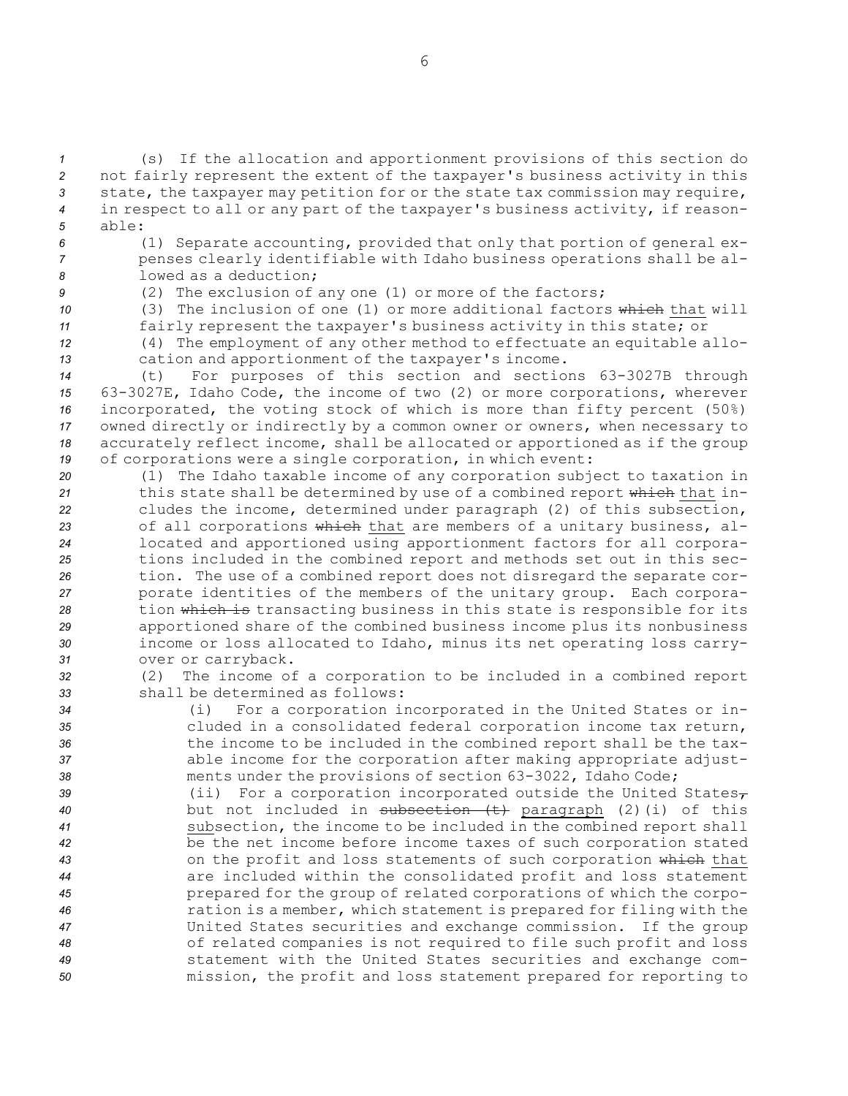(s) If the allocation and apportionment provisions of this section do not fairly represent the extent of the taxpayer's business activity in this state, the taxpayer may petition for or the state tax commission may require, in respect to all or any part of the taxpayer's business activity, if reason-*5* able:

*<sup>6</sup>* (1) Separate accounting, provided that only that portion of general ex-*<sup>7</sup>* penses clearly identifiable with Idaho business operations shall be al-*8* lowed as <sup>a</sup> deduction;

- 
- 

*<sup>9</sup>* (2) The exclusion of any one (1) or more of the factors; *10* (3) The inclusion of one (1) or more additional factors which that will

*<sup>11</sup>* fairly represent the taxpayer's business activity in this state; or

*<sup>12</sup>* (4) The employment of any other method to effectuate an equitable allo-*<sup>13</sup>* cation and apportionment of the taxpayer's income.

 (t) For purposes of this section and sections 63-3027B through 63-3027E, Idaho Code, the income of two (2) or more corporations, wherever incorporated, the voting stock of which is more than fifty percent (50%) owned directly or indirectly by <sup>a</sup> common owner or owners, when necessary to accurately reflect income, shall be allocated or apportioned as if the group of corporations were <sup>a</sup> single corporation, in which event:

 (1) The Idaho taxable income of any corporation subject to taxation in this state shall be determined by use of <sup>a</sup> combined report which that in- cludes the income, determined under paragraph (2) of this subsection, of all corporations which that are members of <sup>a</sup> unitary business, al- located and apportioned using apportionment factors for all corpora- tions included in the combined report and methods set out in this sec- tion. The use of <sup>a</sup> combined report does not disregard the separate cor- porate identities of the members of the unitary group. Each corpora- tion which is transacting business in this state is responsible for its apportioned share of the combined business income plus its nonbusiness income or loss allocated to Idaho, minus its net operating loss carry-over or carryback.

*<sup>32</sup>* (2) The income of <sup>a</sup> corporation to be included in <sup>a</sup> combined report *33* shall be determined as follows:

 (i) For <sup>a</sup> corporation incorporated in the United States or in- cluded in <sup>a</sup> consolidated federal corporation income tax return, the income to be included in the combined report shall be the tax- able income for the corporation after making appropriate adjust-ments under the provisions of section 63-3022, Idaho Code;

39 (ii) For a corporation incorporated outside the United States<sub>7</sub> but not included in subsection (t) paragraph (2)(i) of this subsection, the income to be included in the combined report shall be the net income before income taxes of such corporation stated on the profit and loss statements of such corporation which that are included within the consolidated profit and loss statement prepared for the group of related corporations of which the corpo- ration is <sup>a</sup> member, which statement is prepared for filing with the United States securities and exchange commission. If the group of related companies is not required to file such profit and loss statement with the United States securities and exchange com-mission, the profit and loss statement prepared for reporting to